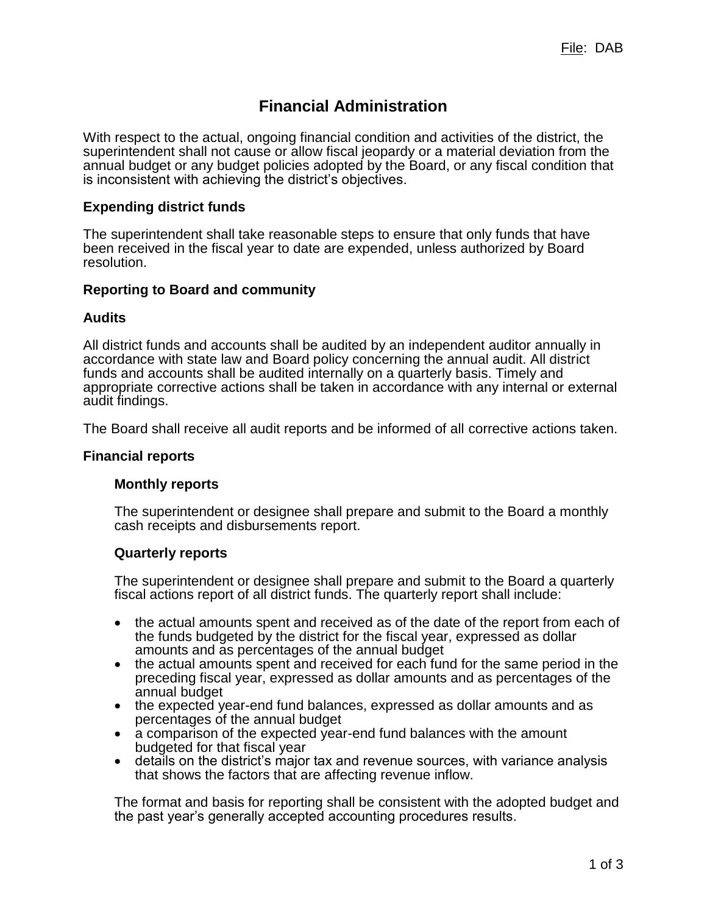# **Financial Administration**

With respect to the actual, ongoing financial condition and activities of the district, the superintendent shall not cause or allow fiscal jeopardy or a material deviation from the annual budget or any budget policies adopted by the Board, or any fiscal condition that is inconsistent with achieving the district's objectives.

## **Expending district funds**

The superintendent shall take reasonable steps to ensure that only funds that have been received in the fiscal year to date are expended, unless authorized by Board resolution.

## **Reporting to Board and community**

#### **Audits**

All district funds and accounts shall be audited by an independent auditor annually in accordance with state law and Board policy concerning the annual audit. All district funds and accounts shall be audited internally on a quarterly basis. Timely and appropriate corrective actions shall be taken in accordance with any internal or external audit findings.

The Board shall receive all audit reports and be informed of all corrective actions taken.

#### **Financial reports**

#### **Monthly reports**

The superintendent or designee shall prepare and submit to the Board a monthly cash receipts and disbursements report.

#### **Quarterly reports**

The superintendent or designee shall prepare and submit to the Board a quarterly fiscal actions report of all district funds. The quarterly report shall include:

- the actual amounts spent and received as of the date of the report from each of the funds budgeted by the district for the fiscal year, expressed as dollar amounts and as percentages of the annual budget
- the actual amounts spent and received for each fund for the same period in the preceding fiscal year, expressed as dollar amounts and as percentages of the annual budget
- the expected year-end fund balances, expressed as dollar amounts and as percentages of the annual budget
- a comparison of the expected year-end fund balances with the amount budgeted for that fiscal year
- details on the district's major tax and revenue sources, with variance analysis that shows the factors that are affecting revenue inflow.

The format and basis for reporting shall be consistent with the adopted budget and the past year's generally accepted accounting procedures results.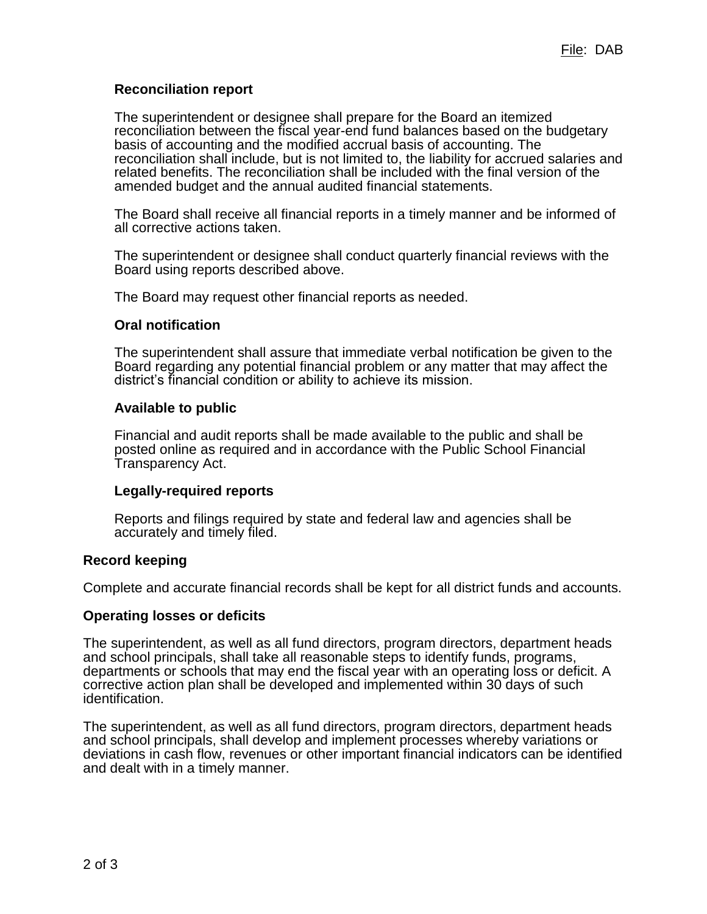# **Reconciliation report**

The superintendent or designee shall prepare for the Board an itemized reconciliation between the fiscal year-end fund balances based on the budgetary basis of accounting and the modified accrual basis of accounting. The reconciliation shall include, but is not limited to, the liability for accrued salaries and related benefits. The reconciliation shall be included with the final version of the amended budget and the annual audited financial statements.

The Board shall receive all financial reports in a timely manner and be informed of all corrective actions taken.

The superintendent or designee shall conduct quarterly financial reviews with the Board using reports described above.

The Board may request other financial reports as needed.

## **Oral notification**

The superintendent shall assure that immediate verbal notification be given to the Board regarding any potential financial problem or any matter that may affect the district's financial condition or ability to achieve its mission.

## **Available to public**

Financial and audit reports shall be made available to the public and shall be posted online as required and in accordance with the Public School Financial Transparency Act.

# **Legally-required reports**

Reports and filings required by state and federal law and agencies shall be accurately and timely filed.

# **Record keeping**

Complete and accurate financial records shall be kept for all district funds and accounts.

# **Operating losses or deficits**

The superintendent, as well as all fund directors, program directors, department heads and school principals, shall take all reasonable steps to identify funds, programs, departments or schools that may end the fiscal year with an operating loss or deficit. A corrective action plan shall be developed and implemented within 30 days of such identification.

The superintendent, as well as all fund directors, program directors, department heads and school principals, shall develop and implement processes whereby variations or deviations in cash flow, revenues or other important financial indicators can be identified and dealt with in a timely manner.